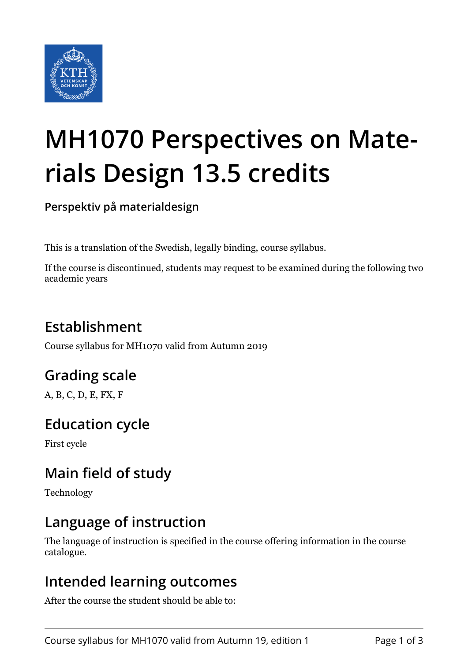

# **MH1070 Perspectives on Materials Design 13.5 credits**

**Perspektiv på materialdesign**

This is a translation of the Swedish, legally binding, course syllabus.

If the course is discontinued, students may request to be examined during the following two academic years

# **Establishment**

Course syllabus for MH1070 valid from Autumn 2019

## **Grading scale**

A, B, C, D, E, FX, F

## **Education cycle**

First cycle

## **Main field of study**

Technology

## **Language of instruction**

The language of instruction is specified in the course offering information in the course catalogue.

### **Intended learning outcomes**

After the course the student should be able to: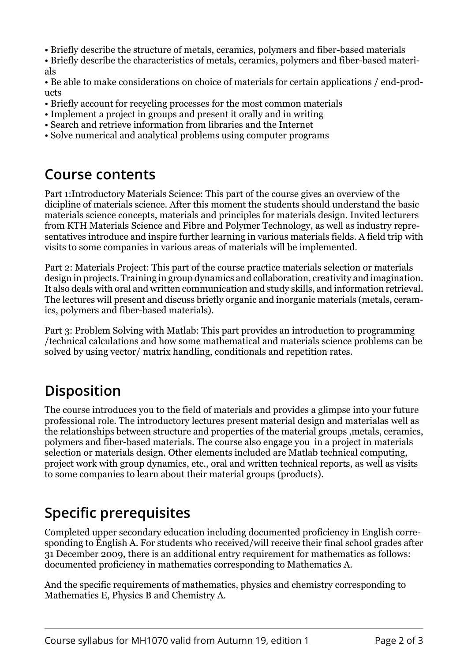- Briefly describe the structure of metals, ceramics, polymers and fiber-based materials
- Briefly describe the characteristics of metals, ceramics, polymers and fiber-based materials

• Be able to make considerations on choice of materials for certain applications / end-products

- Briefly account for recycling processes for the most common materials
- Implement a project in groups and present it orally and in writing
- Search and retrieve information from libraries and the Internet
- Solve numerical and analytical problems using computer programs

#### **Course contents**

Part 1:Introductory Materials Science: This part of the course gives an overview of the dicipline of materials science. After this moment the students should understand the basic materials science concepts, materials and principles for materials design. Invited lecturers from KTH Materials Science and Fibre and Polymer Technology, as well as industry representatives introduce and inspire further learning in various materials fields. A field trip with visits to some companies in various areas of materials will be implemented.

Part 2: Materials Project: This part of the course practice materials selection or materials design in projects. Training in group dynamics and collaboration, creativity and imagination. It also deals with oral and written communication and study skills, and information retrieval. The lectures will present and discuss briefly organic and inorganic materials (metals, ceramics, polymers and fiber-based materials).

Part 3: Problem Solving with Matlab: This part provides an introduction to programming /technical calculations and how some mathematical and materials science problems can be solved by using vector/ matrix handling, conditionals and repetition rates.

## **Disposition**

The course introduces you to the field of materials and provides a glimpse into your future professional role. The introductory lectures present material design and materialas well as the relationships between structure and properties of the material groups ,metals, ceramics, polymers and fiber-based materials. The course also engage you in a project in materials selection or materials design. Other elements included are Matlab technical computing, project work with group dynamics, etc., oral and written technical reports, as well as visits to some companies to learn about their material groups (products).

# **Specific prerequisites**

Completed upper secondary education including documented proficiency in English corresponding to English A. For students who received/will receive their final school grades after 31 December 2009, there is an additional entry requirement for mathematics as follows: documented proficiency in mathematics corresponding to Mathematics A.

And the specific requirements of mathematics, physics and chemistry corresponding to Mathematics E, Physics B and Chemistry A.